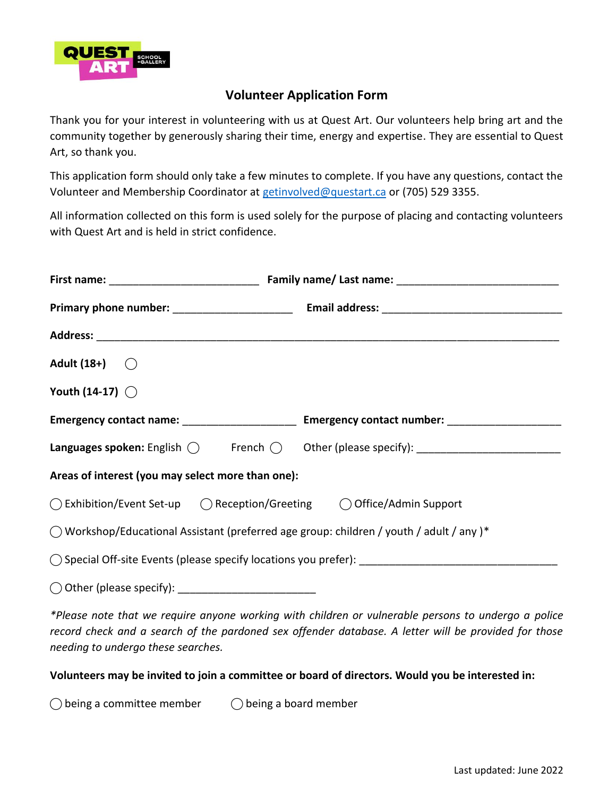

## **Volunteer Application Form**

Thank you for your interest in volunteering with us at Quest Art. Our volunteers help bring art and the community together by generously sharing their time, energy and expertise. They are essential to Quest Art, so thank you.

This application form should only take a few minutes to complete. If you have any questions, contact the Volunteer and Membership Coordinator at [getinvolved@questart.ca](mailto:getinvolved@questart.ca) or (705) 529 3355.

All information collected on this form is used solely for the purpose of placing and contacting volunteers with Quest Art and is held in strict confidence.

| Adult $(18+)$ $\bigcirc$                              |                                                                                                     |  |  |
|-------------------------------------------------------|-----------------------------------------------------------------------------------------------------|--|--|
| Youth (14-17) $\bigcirc$                              |                                                                                                     |  |  |
|                                                       | Emergency contact name: _______________________ Emergency contact number: _________________________ |  |  |
|                                                       |                                                                                                     |  |  |
| Areas of interest (you may select more than one):     |                                                                                                     |  |  |
|                                                       |                                                                                                     |  |  |
|                                                       | $\bigcirc$ Workshop/Educational Assistant (preferred age group: children / youth / adult / any )*   |  |  |
|                                                       |                                                                                                     |  |  |
| ◯ Other (please specify): ___________________________ |                                                                                                     |  |  |
|                                                       |                                                                                                     |  |  |

*\*Please note that we require anyone working with children or vulnerable persons to undergo a police record check and a search of the pardoned sex offender database. A letter will be provided for those needing to undergo these searches.* 

## **Volunteers may be invited to join a committee or board of directors. Would you be interested in:**

 $\bigcirc$  being a committee member  $\bigcirc$  being a board member